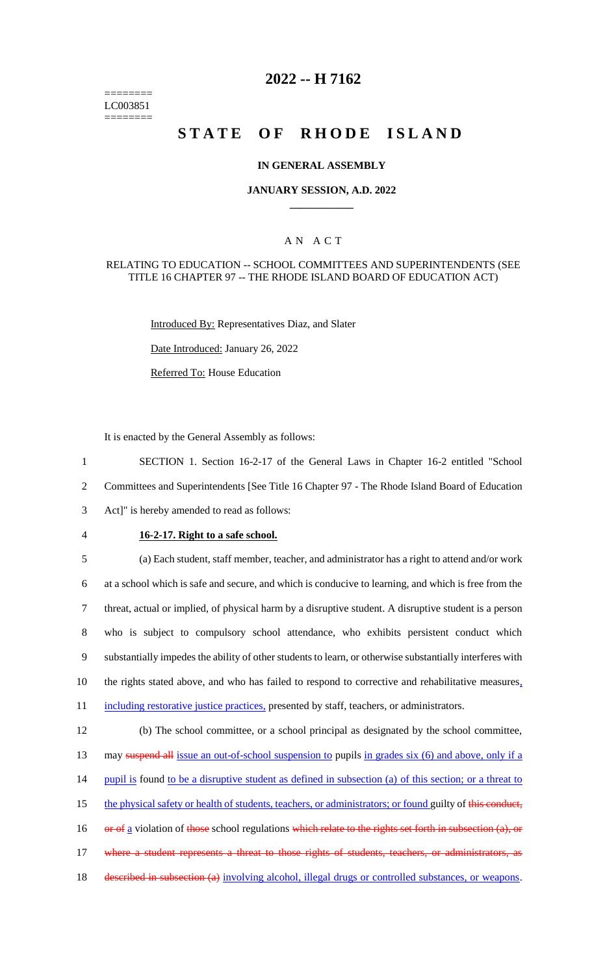======== LC003851 ========

# **2022 -- H 7162**

# **STATE OF RHODE ISLAND**

## **IN GENERAL ASSEMBLY**

#### **JANUARY SESSION, A.D. 2022 \_\_\_\_\_\_\_\_\_\_\_\_**

## A N A C T

#### RELATING TO EDUCATION -- SCHOOL COMMITTEES AND SUPERINTENDENTS (SEE TITLE 16 CHAPTER 97 -- THE RHODE ISLAND BOARD OF EDUCATION ACT)

Introduced By: Representatives Diaz, and Slater

Date Introduced: January 26, 2022

Referred To: House Education

It is enacted by the General Assembly as follows:

1 SECTION 1. Section 16-2-17 of the General Laws in Chapter 16-2 entitled "School 2 Committees and Superintendents [See Title 16 Chapter 97 - The Rhode Island Board of Education 3 Act]" is hereby amended to read as follows:

## 4 **16-2-17. Right to a safe school.**

 (a) Each student, staff member, teacher, and administrator has a right to attend and/or work at a school which is safe and secure, and which is conducive to learning, and which is free from the threat, actual or implied, of physical harm by a disruptive student. A disruptive student is a person who is subject to compulsory school attendance, who exhibits persistent conduct which substantially impedes the ability of other students to learn, or otherwise substantially interferes with 10 the rights stated above, and who has failed to respond to corrective and rehabilitative measures, 11 including restorative justice practices, presented by staff, teachers, or administrators.

12 (b) The school committee, or a school principal as designated by the school committee, 13 may suspend all issue an out-of-school suspension to pupils in grades six (6) and above, only if a 14 pupil is found to be a disruptive student as defined in subsection (a) of this section; or a threat to 15 the physical safety or health of students, teachers, or administrators; or found guilty of this conduct, 16 or of a violation of those school regulations which relate to the rights set forth in subsection (a), or 17 where a student represents a threat to those rights of students, teachers, or administrators, as 18 described in subsection (a) involving alcohol, illegal drugs or controlled substances, or weapons.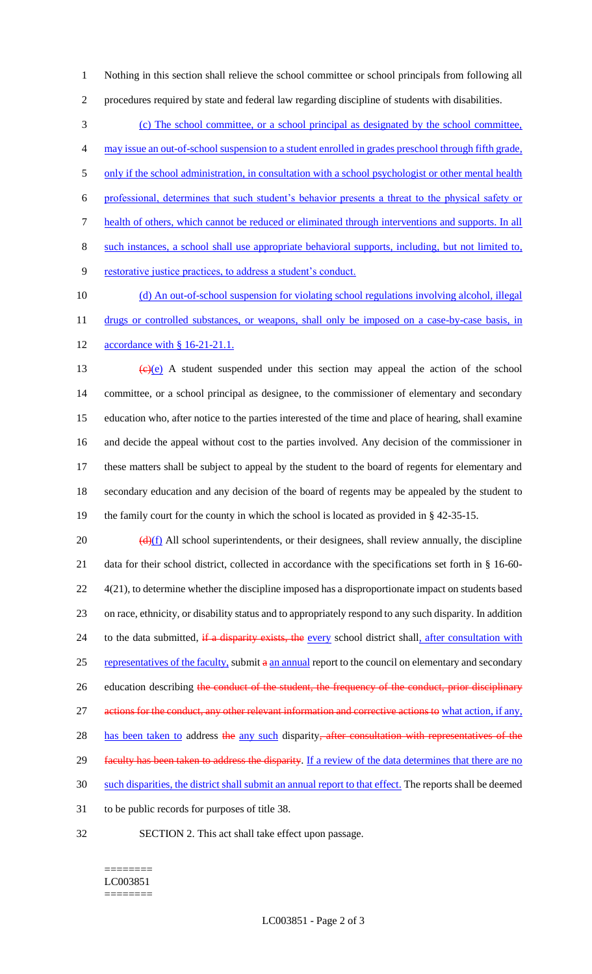1 Nothing in this section shall relieve the school committee or school principals from following all 2 procedures required by state and federal law regarding discipline of students with disabilities.

 (c) The school committee, or a school principal as designated by the school committee, may issue an out-of-school suspension to a student enrolled in grades preschool through fifth grade, 5 only if the school administration, in consultation with a school psychologist or other mental health professional, determines that such student's behavior presents a threat to the physical safety or health of others, which cannot be reduced or eliminated through interventions and supports. In all such instances, a school shall use appropriate behavioral supports, including, but not limited to, restorative justice practices, to address a student's conduct.

10 (d) An out-of-school suspension for violating school regulations involving alcohol, illegal 11 drugs or controlled substances, or weapons, shall only be imposed on a case-by-case basis, in 12 accordance with § 16-21-21.1.

 $(e)(e)$  A student suspended under this section may appeal the action of the school committee, or a school principal as designee, to the commissioner of elementary and secondary education who, after notice to the parties interested of the time and place of hearing, shall examine and decide the appeal without cost to the parties involved. Any decision of the commissioner in these matters shall be subject to appeal by the student to the board of regents for elementary and secondary education and any decision of the board of regents may be appealed by the student to the family court for the county in which the school is located as provided in § 42-35-15.

 $20$  (d)(f) All school superintendents, or their designees, shall review annually, the discipline 21 data for their school district, collected in accordance with the specifications set forth in § 16-60- 22 4(21), to determine whether the discipline imposed has a disproportionate impact on students based 23 on race, ethnicity, or disability status and to appropriately respond to any such disparity. In addition 24 to the data submitted, if a disparity exists, the every school district shall, after consultation with 25 representatives of the faculty, submit a an annual report to the council on elementary and secondary 26 education describing the conduct of the student, the frequency of the conduct, prior disciplinary 27 actions for the conduct, any other relevant information and corrective actions to what action, if any, 28 has been taken to address the any such disparity, after consultation with representatives of the 29 faculty has been taken to address the disparity. If a review of the data determines that there are no 30 such disparities, the district shall submit an annual report to that effect. The reports shall be deemed 31 to be public records for purposes of title 38.

32 SECTION 2. This act shall take effect upon passage.

#### ======== LC003851